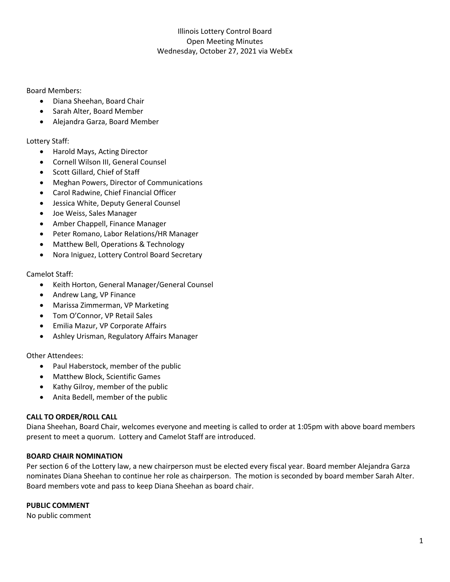### Board Members:

- Diana Sheehan, Board Chair
- Sarah Alter, Board Member
- Alejandra Garza, Board Member

# Lottery Staff:

- Harold Mays, Acting Director
- Cornell Wilson III, General Counsel
- Scott Gillard, Chief of Staff
- Meghan Powers, Director of Communications
- Carol Radwine, Chief Financial Officer
- Jessica White, Deputy General Counsel
- Joe Weiss, Sales Manager
- Amber Chappell, Finance Manager
- Peter Romano, Labor Relations/HR Manager
- Matthew Bell, Operations & Technology
- Nora Iniguez, Lottery Control Board Secretary

### Camelot Staff:

- Keith Horton, General Manager/General Counsel
- Andrew Lang, VP Finance
- Marissa Zimmerman, VP Marketing
- Tom O'Connor, VP Retail Sales
- Emilia Mazur, VP Corporate Affairs
- Ashley Urisman, Regulatory Affairs Manager

#### Other Attendees:

- Paul Haberstock, member of the public
- Matthew Block, Scientific Games
- Kathy Gilroy, member of the public
- Anita Bedell, member of the public

#### **CALL TO ORDER/ROLL CALL**

Diana Sheehan, Board Chair, welcomes everyone and meeting is called to order at 1:05pm with above board members present to meet a quorum. Lottery and Camelot Staff are introduced.

### **BOARD CHAIR NOMINATION**

Per section 6 of the Lottery law, a new chairperson must be elected every fiscal year. Board member Alejandra Garza nominates Diana Sheehan to continue her role as chairperson. The motion is seconded by board member Sarah Alter. Board members vote and pass to keep Diana Sheehan as board chair.

### **PUBLIC COMMENT**

No public comment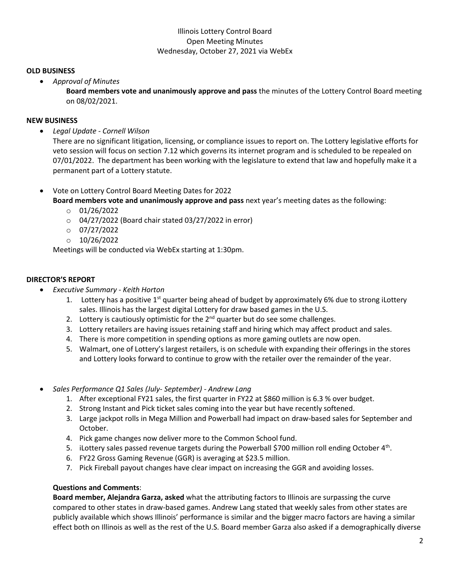### **OLD BUSINESS**

• *Approval of Minutes*

**Board members vote and unanimously approve and pass** the minutes of the Lottery Control Board meeting on 08/02/2021.

### **NEW BUSINESS**

• *Legal Update - Cornell Wilson*

There are no significant litigation, licensing, or compliance issues to report on. The Lottery legislative efforts for veto session will focus on section 7.12 which governs its internet program and is scheduled to be repealed on 07/01/2022. The department has been working with the legislature to extend that law and hopefully make it a permanent part of a Lottery statute.

• Vote on Lottery Control Board Meeting Dates for 2022

**Board members vote and unanimously approve and pass** next year's meeting dates as the following:

- $\circ$  01/26/2022
- o 04/27/2022 (Board chair stated 03/27/2022 in error)
- $O$  07/27/2022
- $O$  10/26/2022

Meetings will be conducted via WebEx starting at 1:30pm.

### **DIRECTOR'S REPORT**

- *Executive Summary - Keith Horton*
	- 1. Lottery has a positive  $1<sup>st</sup>$  quarter being ahead of budget by approximately 6% due to strong iLottery sales. Illinois has the largest digital Lottery for draw based games in the U.S.
	- 2. Lottery is cautiously optimistic for the  $2<sup>nd</sup>$  quarter but do see some challenges.
	- 3. Lottery retailers are having issues retaining staff and hiring which may affect product and sales.
	- 4. There is more competition in spending options as more gaming outlets are now open.
	- 5. Walmart, one of Lottery's largest retailers, is on schedule with expanding their offerings in the stores and Lottery looks forward to continue to grow with the retailer over the remainder of the year.
- *Sales Performance Q1 Sales (July- September) - Andrew Lang*
	- 1. After exceptional FY21 sales, the first quarter in FY22 at \$860 million is 6.3 % over budget.
	- 2. Strong Instant and Pick ticket sales coming into the year but have recently softened.
	- 3. Large jackpot rolls in Mega Million and Powerball had impact on draw-based sales for September and October.
	- 4. Pick game changes now deliver more to the Common School fund.
	- 5. iLottery sales passed revenue targets during the Powerball \$700 million roll ending October 4<sup>th</sup>.
	- 6. FY22 Gross Gaming Revenue (GGR) is averaging at \$23.5 million.
	- 7. Pick Fireball payout changes have clear impact on increasing the GGR and avoiding losses.

#### **Questions and Comments**:

**Board member, Alejandra Garza, asked** what the attributing factors to Illinois are surpassing the curve compared to other states in draw-based games. Andrew Lang stated that weekly sales from other states are publicly available which shows Illinois' performance is similar and the bigger macro factors are having a similar effect both on Illinois as well as the rest of the U.S. Board member Garza also asked if a demographically diverse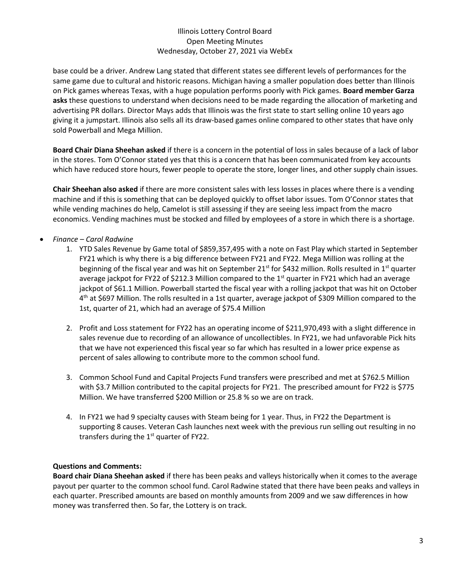base could be a driver. Andrew Lang stated that different states see different levels of performances for the same game due to cultural and historic reasons. Michigan having a smaller population does better than Illinois on Pick games whereas Texas, with a huge population performs poorly with Pick games. **Board member Garza asks** these questions to understand when decisions need to be made regarding the allocation of marketing and advertising PR dollars. Director Mays adds that Illinois was the first state to start selling online 10 years ago giving it a jumpstart. Illinois also sells all its draw-based games online compared to other states that have only sold Powerball and Mega Million.

**Board Chair Diana Sheehan asked** if there is a concern in the potential of loss in sales because of a lack of labor in the stores. Tom O'Connor stated yes that this is a concern that has been communicated from key accounts which have reduced store hours, fewer people to operate the store, longer lines, and other supply chain issues.

**Chair Sheehan also asked** if there are more consistent sales with less losses in places where there is a vending machine and if this is something that can be deployed quickly to offset labor issues. Tom O'Connor states that while vending machines do help, Camelot is still assessing if they are seeing less impact from the macro economics. Vending machines must be stocked and filled by employees of a store in which there is a shortage.

- *Finance – Carol Radwine*
	- 1. YTD Sales Revenue by Game total of \$859,357,495 with a note on Fast Play which started in September FY21 which is why there is a big difference between FY21 and FY22. Mega Million was rolling at the beginning of the fiscal year and was hit on September 21<sup>st</sup> for \$432 million. Rolls resulted in 1<sup>st</sup> quarter average jackpot for FY22 of \$212.3 Million compared to the 1<sup>st</sup> quarter in FY21 which had an average jackpot of \$61.1 Million. Powerball started the fiscal year with a rolling jackpot that was hit on October 4<sup>th</sup> at \$697 Million. The rolls resulted in a 1st quarter, average jackpot of \$309 Million compared to the 1st, quarter of 21, which had an average of \$75.4 Million
	- 2. Profit and Loss statement for FY22 has an operating income of \$211,970,493 with a slight difference in sales revenue due to recording of an allowance of uncollectibles. In FY21, we had unfavorable Pick hits that we have not experienced this fiscal year so far which has resulted in a lower price expense as percent of sales allowing to contribute more to the common school fund.
	- 3. Common School Fund and Capital Projects Fund transfers were prescribed and met at \$762.5 Million with \$3.7 Million contributed to the capital projects for FY21. The prescribed amount for FY22 is \$775 Million. We have transferred \$200 Million or 25.8 % so we are on track.
	- 4. In FY21 we had 9 specialty causes with Steam being for 1 year. Thus, in FY22 the Department is supporting 8 causes. Veteran Cash launches next week with the previous run selling out resulting in no transfers during the  $1<sup>st</sup>$  quarter of FY22.

# **Questions and Comments:**

**Board chair Diana Sheehan asked** if there has been peaks and valleys historically when it comes to the average payout per quarter to the common school fund. Carol Radwine stated that there have been peaks and valleys in each quarter. Prescribed amounts are based on monthly amounts from 2009 and we saw differences in how money was transferred then. So far, the Lottery is on track.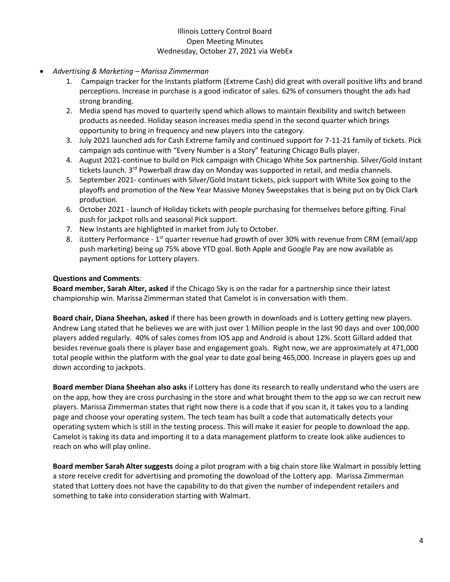- *Advertising & Marketing – Marissa Zimmerman*
	- 1. Campaign tracker for the Instants platform (Extreme Cash) did great with overall positive lifts and brand perceptions. Increase in purchase is a good indicator of sales. 62% of consumers thought the ads had strong branding.
	- 2. Media spend has moved to quarterly spend which allows to maintain flexibility and switch between products as needed. Holiday season increases media spend in the second quarter which brings opportunity to bring in frequency and new players into the category.
	- 3. July 2021 launched ads for Cash Extreme family and continued support for 7-11-21 family of tickets. Pick campaign ads continue with "Every Number is a Story" featuring Chicago Bulls player.
	- 4. August 2021-continue to build on Pick campaign with Chicago White Sox partnership. Silver/Gold Instant tickets launch. 3<sup>rd</sup> Powerball draw day on Monday was supported in retail, and media channels.
	- 5. September 2021- continues with Silver/Gold Instant tickets, pick support with White Sox going to the playoffs and promotion of the New Year Massive Money Sweepstakes that is being put on by Dick Clark production.
	- 6. October 2021 launch of Holiday tickets with people purchasing for themselves before gifting. Final push for jackpot rolls and seasonal Pick support.
	- 7. New Instants are highlighted in market from July to October.
	- 8. iLottery Performance 1<sup>st</sup> quarter revenue had growth of over 30% with revenue from CRM (email/app push marketing) being up 75% above YTD goal. Both Apple and Google Pay are now available as payment options for Lottery players.

### **Questions and Comments**:

**Board member, Sarah Alter, asked** if the Chicago Sky is on the radar for a partnership since their latest championship win. Marissa Zimmerman stated that Camelot is in conversation with them.

**Board chair, Diana Sheehan, asked** if there has been growth in downloads and is Lottery getting new players. Andrew Lang stated that he believes we are with just over 1 Million people in the last 90 days and over 100,000 players added regularly. 40% of sales comes from IOS app and Android is about 12%. Scott Gillard added that besides revenue goals there is player base and engagement goals. Right now, we are approximately at 471,000 total people within the platform with the goal year to date goal being 465,000. Increase in players goes up and down according to jackpots.

**Board member Diana Sheehan also asks** if Lottery has done its research to really understand who the users are on the app, how they are cross purchasing in the store and what brought them to the app so we can recruit new players. Marissa Zimmerman states that right now there is a code that if you scan it, it takes you to a landing page and choose your operating system. The tech team has built a code that automatically detects your operating system which is still in the testing process. This will make it easier for people to download the app. Camelot is taking its data and importing it to a data management platform to create look alike audiences to reach on who will play online.

**Board member Sarah Alter suggests** doing a pilot program with a big chain store like Walmart in possibly letting a store receive credit for advertising and promoting the download of the Lottery app. Marissa Zimmerman stated that Lottery does not have the capability to do that given the number of independent retailers and something to take into consideration starting with Walmart.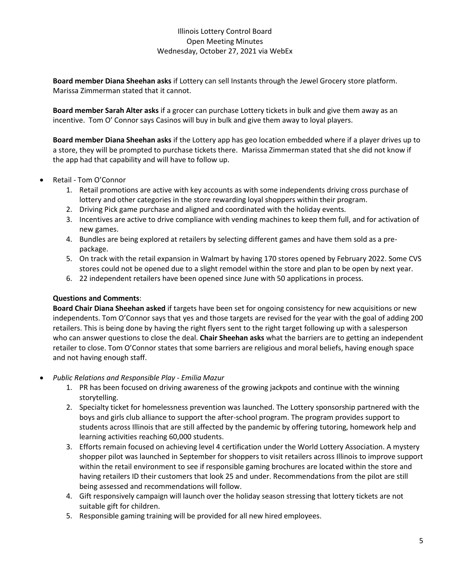**Board member Diana Sheehan asks** if Lottery can sell Instants through the Jewel Grocery store platform. Marissa Zimmerman stated that it cannot.

**Board member Sarah Alter asks** if a grocer can purchase Lottery tickets in bulk and give them away as an incentive. Tom O' Connor says Casinos will buy in bulk and give them away to loyal players.

**Board member Diana Sheehan asks** if the Lottery app has geo location embedded where if a player drives up to a store, they will be prompted to purchase tickets there. Marissa Zimmerman stated that she did not know if the app had that capability and will have to follow up.

- Retail Tom O'Connor
	- 1. Retail promotions are active with key accounts as with some independents driving cross purchase of lottery and other categories in the store rewarding loyal shoppers within their program.
	- 2. Driving Pick game purchase and aligned and coordinated with the holiday events.
	- 3. Incentives are active to drive compliance with vending machines to keep them full, and for activation of new games.
	- 4. Bundles are being explored at retailers by selecting different games and have them sold as a prepackage.
	- 5. On track with the retail expansion in Walmart by having 170 stores opened by February 2022. Some CVS stores could not be opened due to a slight remodel within the store and plan to be open by next year.
	- 6. 22 independent retailers have been opened since June with 50 applications in process.

#### **Questions and Comments**:

**Board Chair Diana Sheehan asked** if targets have been set for ongoing consistency for new acquisitions or new independents. Tom O'Connor says that yes and those targets are revised for the year with the goal of adding 200 retailers. This is being done by having the right flyers sent to the right target following up with a salesperson who can answer questions to close the deal. **Chair Sheehan asks** what the barriers are to getting an independent retailer to close. Tom O'Connor states that some barriers are religious and moral beliefs, having enough space and not having enough staff.

- *Public Relations and Responsible Play - Emilia Mazur*
	- 1. PR has been focused on driving awareness of the growing jackpots and continue with the winning storytelling.
	- 2. Specialty ticket for homelessness prevention was launched. The Lottery sponsorship partnered with the boys and girls club alliance to support the after-school program. The program provides support to students across Illinois that are still affected by the pandemic by offering tutoring, homework help and learning activities reaching 60,000 students.
	- 3. Efforts remain focused on achieving level 4 certification under the World Lottery Association. A mystery shopper pilot was launched in September for shoppers to visit retailers across Illinois to improve support within the retail environment to see if responsible gaming brochures are located within the store and having retailers ID their customers that look 25 and under. Recommendations from the pilot are still being assessed and recommendations will follow.
	- 4. Gift responsively campaign will launch over the holiday season stressing that lottery tickets are not suitable gift for children.
	- 5. Responsible gaming training will be provided for all new hired employees.